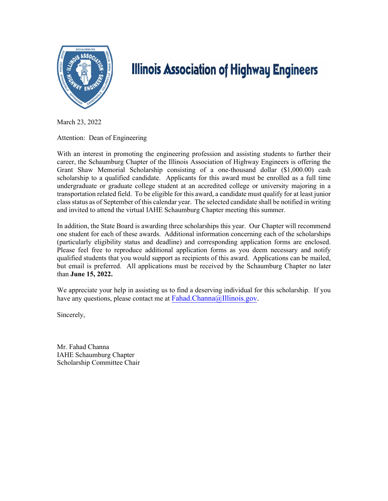

# **Illinois Association of Highway Engineers**

March 23, 2022

Attention: Dean of Engineering

With an interest in promoting the engineering profession and assisting students to further their career, the Schaumburg Chapter of the Illinois Association of Highway Engineers is offering the Grant Shaw Memorial Scholarship consisting of a one-thousand dollar (\$1,000.00) cash scholarship to a qualified candidate. Applicants for this award must be enrolled as a full time undergraduate or graduate college student at an accredited college or university majoring in a transportation related field. To be eligible for this award, a candidate must qualify for at least junior class status as of September of this calendar year. The selected candidate shall be notified in writing and invited to attend the virtual IAHE Schaumburg Chapter meeting this summer.

In addition, the State Board is awarding three scholarships this year. Our Chapter will recommend one student for each of these awards. Additional information concerning each of the scholarships (particularly eligibility status and deadline) and corresponding application forms are enclosed. Please feel free to reproduce additional application forms as you deem necessary and notify qualified students that you would support as recipients of this award. Applications can be mailed, but email is preferred. All applications must be received by the Schaumburg Chapter no later than **June 15, 2022.**

We appreciate your help in assisting us to find a deserving individual for this scholarship. If you have any questions, please contact me at  $Fahad.Chamna@Illinois.gov$ .

Sincerely,

Mr. Fahad Channa IAHE Schaumburg Chapter Scholarship Committee Chair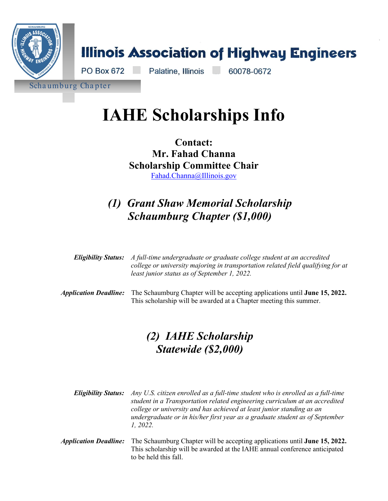

# **IAHE Scholarships Info**

**Contact: Mr. Fahad Channa Scholarship Committee Chair**  [Fahad.Channa@Illinois.gov](mailto:Fahad.Channa@Illinois.gov)

# *(1) Grant Shaw Memorial Scholarship Schaumburg Chapter (\$1,000)*

|                                     | <b>Eligibility Status:</b> A full-time undergraduate or graduate college student at an accredited<br>college or university majoring in transportation related field qualifying for at<br>least junior status as of September 1, 2022. |  |
|-------------------------------------|---------------------------------------------------------------------------------------------------------------------------------------------------------------------------------------------------------------------------------------|--|
| <i><b>Application Deadline:</b></i> | The Schaumburg Chapter will be accepting applications until June 15, 2022.<br>This scholarship will be awarded at a Chapter meeting this summer.                                                                                      |  |

# *(2) IAHE Scholarship Statewide (\$2,000)*

*Eligibility Status: Any U.S. citizen enrolled as a full-time student who is enrolled as a full-time student in a Transportation related engineering curriculum at an accredited college or university and has achieved at least junior standing as an undergraduate or in his/her first year as a graduate student as of September 1, 2022.*

*Application Deadline:* The Schaumburg Chapter will be accepting applications until **June 15, 2022.**  This scholarship will be awarded at the IAHE annual conference anticipated to be held this fall.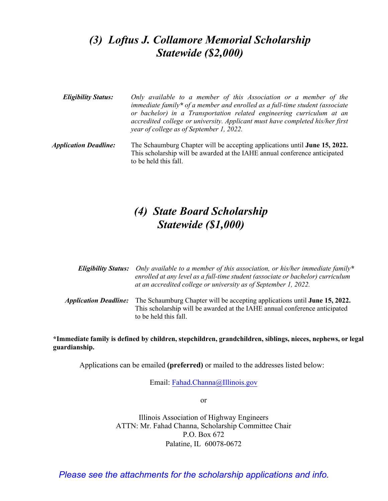# *(3) Loftus J. Collamore Memorial Scholarship Statewide (\$2,000)*

- *Eligibility Status: Only available to a member of this Association or a member of the immediate family\* of a member and enrolled as a full-time student (associate or bachelor) in a Transportation related engineering curriculum at an accredited college or university. Applicant must have completed his/her first year of college as of September 1, 2022.*
- *Application Deadline:* The Schaumburg Chapter will be accepting applications until **June 15, 2022.**  This scholarship will be awarded at the IAHE annual conference anticipated to be held this fall.

# *(4) State Board Scholarship Statewide (\$1,000)*

| <b>Eligibility Status:</b> Only available to a member of this association, or his/her immediate family*<br>enrolled at any level as a full-time student (associate or bachelor) curriculum<br>at an accredited college or university as of September 1, 2022. |  |
|---------------------------------------------------------------------------------------------------------------------------------------------------------------------------------------------------------------------------------------------------------------|--|
| <i>Application Deadline:</i> The Schaumburg Chapter will be accepting applications until <b>June 15, 2022.</b><br>This scholarship will be awarded at the IAHE annual conference anticipated                                                                  |  |

**\*Immediate family is defined by children, stepchildren, grandchildren, siblings, nieces, nephews, or legal guardianship.** 

Applications can be emailed **[\(preferred\)](mailto:Fahad.Channa@Illinois.gov)** or mailed to the addresses listed below:

to be held this fall.

Email: Fahad.Channa@Illinois.gov

or

Illinois Association of Highway Engineers ATTN: Mr. Fahad Channa, Scholarship Committee Chair P.O. Box 672 Palatine, IL 60078-0672

*Please see the attachments for the scholarship applications and info.*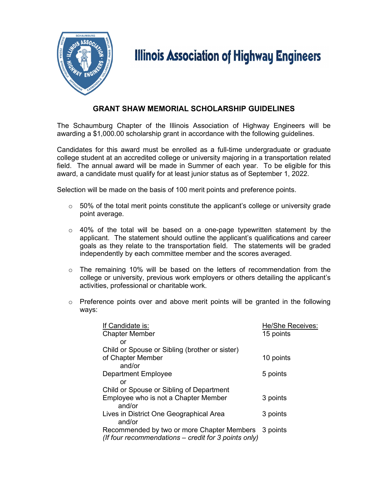

# **Illinois Association of Highway Engineers**

### **GRANT SHAW MEMORIAL SCHOLARSHIP GUIDELINES**

The Schaumburg Chapter of the Illinois Association of Highway Engineers will be awarding a \$1,000.00 scholarship grant in accordance with the following guidelines.

Candidates for this award must be enrolled as a full-time undergraduate or graduate college student at an accredited college or university majoring in a transportation related field. The annual award will be made in Summer of each year. To be eligible for this award, a candidate must qualify for at least junior status as of September 1, 2022.

Selection will be made on the basis of 100 merit points and preference points.

- $\circ$  50% of the total merit points constitute the applicant's college or university grade point average.
- $\circ$  40% of the total will be based on a one-page typewritten statement by the applicant. The statement should outline the applicant's qualifications and career goals as they relate to the transportation field. The statements will be graded independently by each committee member and the scores averaged.
- $\circ$  The remaining 10% will be based on the letters of recommendation from the college or university, previous work employers or others detailing the applicant's activities, professional or charitable work.
- $\circ$  Preference points over and above merit points will be granted in the following ways:

| If Candidate is:                                     | <b>He/She Receives:</b> |
|------------------------------------------------------|-------------------------|
| <b>Chapter Member</b>                                | 15 points               |
| or                                                   |                         |
| Child or Spouse or Sibling (brother or sister)       |                         |
| of Chapter Member                                    | 10 points               |
| and/or                                               |                         |
| <b>Department Employee</b>                           | 5 points                |
| or                                                   |                         |
| Child or Spouse or Sibling of Department             |                         |
| Employee who is not a Chapter Member                 | 3 points                |
| and/or                                               |                         |
| Lives in District One Geographical Area              | 3 points                |
| and/or                                               |                         |
| Recommended by two or more Chapter Members           | 3 points                |
| (If four recommendations – credit for 3 points only) |                         |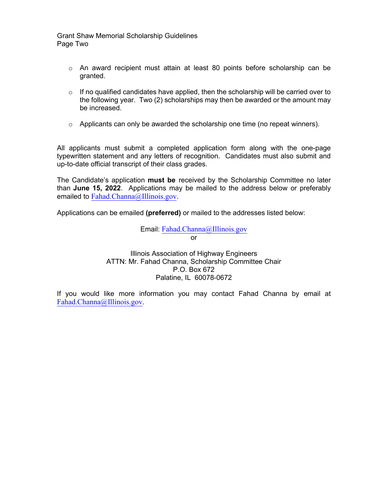Grant Shaw Memorial Scholarship Guidelines Page Two

- $\circ$  An award recipient must attain at least 80 points before scholarship can be granted.
- $\circ$  If no qualified candidates have applied, then the scholarship will be carried over to the following year. Two (2) scholarships may then be awarded or the amount may be increased.
- $\circ$  Applicants can only be awarded the scholarship one time (no repeat winners).

All applicants must submit a completed application form along with the one-page typewritten statement and any letters of recognition. Candidates must also submit and up-to-date official transcript of their class grades.

The Candidate's application **must be** received by the Scholarship Committee no later than **June 15, 2022**. Applications may be mailed to the address below or preferably emailed to [Fahad.Channa@I](mailto:Fahad.Channa@Illinois.gov)llinois.gov.

Applications can be emailed **(preferred)** or mailed to the addresses listed below:

Email: [Fahad.Channa@Illinois.gov](mailto:Fahad.Channa@Illinois.gov) or

Illinois Association of Highway Engineers ATTN: Mr. Fahad Channa, Scholarship Committee Chair P.O. Box 672 Palatine, IL 60078-0672

If you would like more information you may contact Fahad Channa by email at [Fahad.Channa@Illinois.gov.](mailto:Fahad.Channa@Illinois.gov)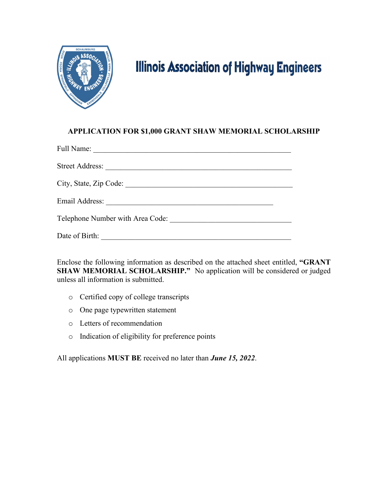

# **Illinois Association of Highway Engineers**

### **APPLICATION FOR \$1,000 GRANT SHAW MEMORIAL SCHOLARSHIP**

| Full Name:                                                                                                                              |
|-----------------------------------------------------------------------------------------------------------------------------------------|
| Street Address:                                                                                                                         |
|                                                                                                                                         |
| Email Address:<br><u> 1989 - Johann Harry Barn, mars and de Branch and de Branch and de Branch and de Branch and de Branch and de B</u> |
| Telephone Number with Area Code:                                                                                                        |
| Date of Birth:                                                                                                                          |

Enclose the following information as described on the attached sheet entitled, **"GRANT SHAW MEMORIAL SCHOLARSHIP."** No application will be considered or judged unless all information is submitted.

- o Certified copy of college transcripts
- o One page typewritten statement
- o Letters of recommendation
- o Indication of eligibility for preference points

All applications **MUST BE** received no later than *June 15, 2022*.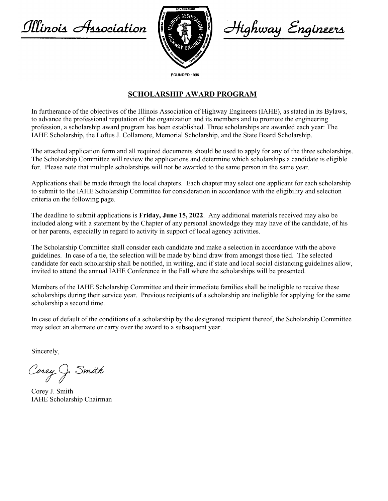Illinois Association



Highway Engineers

FOUNDED 1936

#### **SCHOLARSHIP AWARD PROGRAM**

In furtherance of the objectives of the Illinois Association of Highway Engineers (IAHE), as stated in its Bylaws, to advance the professional reputation of the organization and its members and to promote the engineering profession, a scholarship award program has been established. Three scholarships are awarded each year: The IAHE Scholarship, the Loftus J. Collamore, Memorial Scholarship, and the State Board Scholarship.

The attached application form and all required documents should be used to apply for any of the three scholarships. The Scholarship Committee will review the applications and determine which scholarships a candidate is eligible for. Please note that multiple scholarships will not be awarded to the same person in the same year.

Applications shall be made through the local chapters. Each chapter may select one applicant for each scholarship to submit to the IAHE Scholarship Committee for consideration in accordance with the eligibility and selection criteria on the following page.

The deadline to submit applications is **Friday, June 15, 2022**. Any additional materials received may also be included along with a statement by the Chapter of any personal knowledge they may have of the candidate, of his or her parents, especially in regard to activity in support of local agency activities.

The Scholarship Committee shall consider each candidate and make a selection in accordance with the above guidelines. In case of a tie, the selection will be made by blind draw from amongst those tied. The selected candidate for each scholarship shall be notified, in writing, and if state and local social distancing guidelines allow, invited to attend the annual IAHE Conference in the Fall where the scholarships will be presented.

Members of the IAHE Scholarship Committee and their immediate families shall be ineligible to receive these scholarships during their service year. Previous recipients of a scholarship are ineligible for applying for the same scholarship a second time.

In case of default of the conditions of a scholarship by the designated recipient thereof, the Scholarship Committee may select an alternate or carry over the award to a subsequent year.

Sincerely,

Corey J. Smith

Corey J. Smith IAHE Scholarship Chairman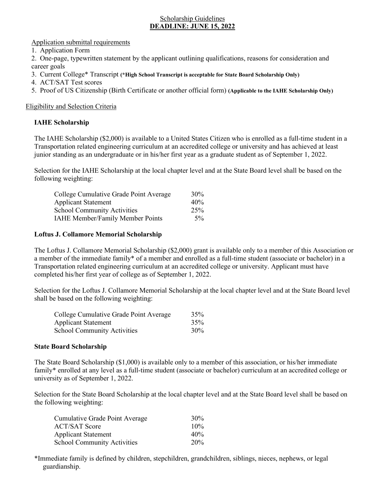#### Scholarship Guidelines **DEADLINE: JUNE 15, 2022**

#### Application submittal requirements

1. Application Form

2. One-page, typewritten statement by the applicant outlining qualifications, reasons for consideration and career goals

- 3. Current College\* Transcript **(\*High School Transcript is acceptable for State Board Scholarship Only)**
- 4. ACT/SAT Test scores
- 5. Proof of US Citizenship (Birth Certificate or another official form) **(Applicable to the IAHE Scholarship Only)**

#### Eligibility and Selection Criteria

#### **IAHE Scholarship**

The IAHE Scholarship (\$2,000) is available to a United States Citizen who is enrolled as a full-time student in a Transportation related engineering curriculum at an accredited college or university and has achieved at least junior standing as an undergraduate or in his/her first year as a graduate student as of September 1, 2022.

Selection for the IAHE Scholarship at the local chapter level and at the State Board level shall be based on the following weighting:

| College Cumulative Grade Point Average  | $30\%$ |
|-----------------------------------------|--------|
| <b>Applicant Statement</b>              | 40%    |
| <b>School Community Activities</b>      | 25%    |
| <b>IAHE Member/Family Member Points</b> | $5\%$  |

#### **Loftus J. Collamore Memorial Scholarship**

The Loftus J. Collamore Memorial Scholarship (\$2,000) grant is available only to a member of this Association or a member of the immediate family\* of a member and enrolled as a full-time student (associate or bachelor) in a Transportation related engineering curriculum at an accredited college or university. Applicant must have completed his/her first year of college as of September 1, 2022.

Selection for the Loftus J. Collamore Memorial Scholarship at the local chapter level and at the State Board level shall be based on the following weighting:

| College Cumulative Grade Point Average | 35% |
|----------------------------------------|-----|
| <b>Applicant Statement</b>             | 35% |
| <b>School Community Activities</b>     | 30% |

#### **State Board Scholarship**

The State Board Scholarship (\$1,000) is available only to a member of this association, or his/her immediate family\* enrolled at any level as a full-time student (associate or bachelor) curriculum at an accredited college or university as of September 1, 2022.

Selection for the State Board Scholarship at the local chapter level and at the State Board level shall be based on the following weighting:

| Cumulative Grade Point Average     | 30 <sup>%</sup> |
|------------------------------------|-----------------|
| <b>ACT/SAT Score</b>               | $10\%$          |
| <b>Applicant Statement</b>         | 40%             |
| <b>School Community Activities</b> | 20%             |

\*Immediate family is defined by children, stepchildren, grandchildren, siblings, nieces, nephews, or legal guardianship.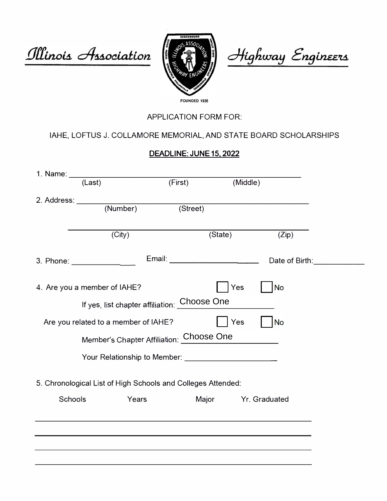Illinois Association



Highway Engineers

## APPLICATION FORM FOR:

## IAHE, LOFTUS J. COLLAMORE MEMORIAL, AND STATE BOARD SCHOLARSHIPS

## DEADLINE: JUNE 15, 2**0**22

| 1. Name: ___ |                                                              |                                   |          |                |  |
|--------------|--------------------------------------------------------------|-----------------------------------|----------|----------------|--|
|              | (Last)                                                       | (First)                           | (Middle) |                |  |
|              |                                                              |                                   |          |                |  |
|              |                                                              | (Street)                          |          |                |  |
|              |                                                              |                                   |          |                |  |
|              | (City)                                                       |                                   | (State)  | (Zip)          |  |
|              |                                                              | Email: __________________________ |          | Date of Birth: |  |
|              | 4. Are you a member of IAHE?                                 |                                   | Yes      | <b>No</b>      |  |
|              | If yes, list chapter affiliation: Choose One                 |                                   |          |                |  |
|              | Are you related to a member of IAHE?                         |                                   | Yes      | No             |  |
|              | Member's Chapter Affiliation: Choose One                     |                                   |          |                |  |
|              | Your Relationship to Member:                                 |                                   |          |                |  |
|              | 5. Chronological List of High Schools and Colleges Attended: |                                   |          |                |  |
| Schools      | Years                                                        |                                   | Major    | Yr. Graduated  |  |
|              |                                                              |                                   |          |                |  |
|              |                                                              |                                   |          |                |  |
|              |                                                              |                                   |          |                |  |
|              |                                                              |                                   |          |                |  |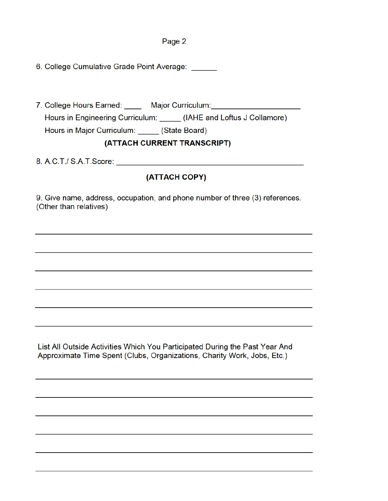#### Page 2

6. College Cumulative Grade Point Average: \_\_\_\_\_

7. College Hours Earned: **Major Curriculum:** Hours in Engineering Curriculum: \_\_\_\_\_\_ (IAHE and Loftus J Collamore) Hours in Major Curriculum: \_\_\_\_\_ (State Board)

### (ATTACH CURRENT TRANSCRIPT)

8. A. C. T. S. A. T. c or e: \_ \_ \_ \_ \_ \_ \_ \_ \_ \_ \_ \_ \_ \_ \_ \_ \_ \_ \_ \_ \_ \_ \_ \_ \_ \_ \_ \_ \_ \_ \_ \_ \_ \_ \_ \_ \_ \_ \_ \_ \_ \_ \_ \_

### (ATTACH COPY)

9. Give name, address, occupation, and phone number of three (3) references. (Other than relatives)

List All Outside Activities Which You Participated During the Past Year And Approximate Time Spent (Clubs, Organizations, Charity Work, Jobs, Etc.)